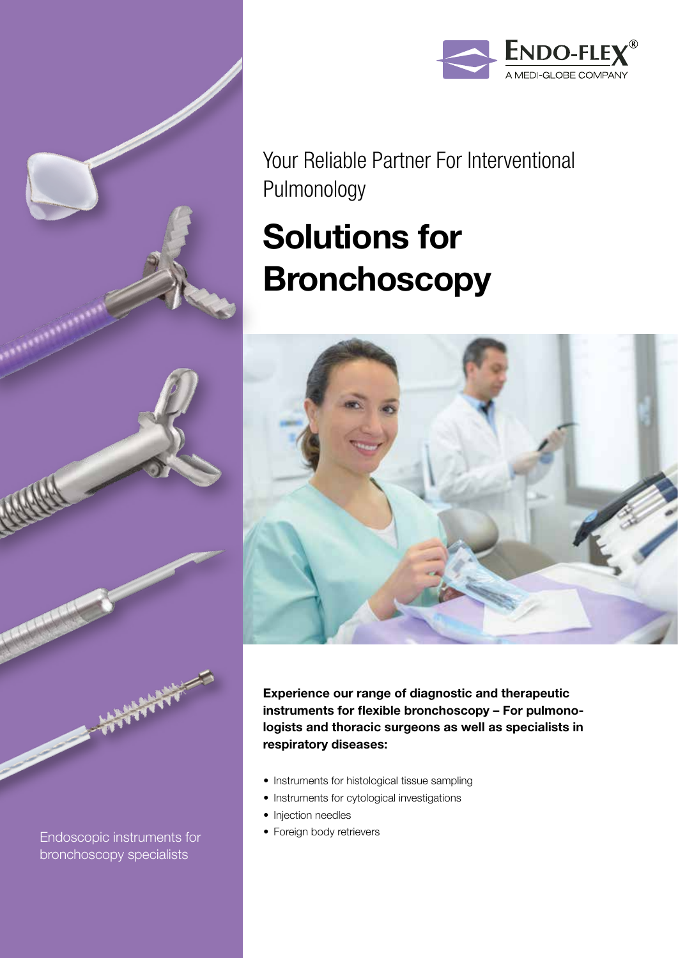

Your Reliable Partner For Interventional Pulmonology

# Solutions for **Bronchoscopy**



Experience our range of diagnostic and therapeutic instruments for flexible bronchoscopy – For pulmonologists and thoracic surgeons as well as specialists in respiratory diseases:

- Instruments for histological tissue sampling
- Instruments for cytological investigations
- Injection needles
- Foreign body retrievers

Endoscopic instruments for bronchoscopy specialists